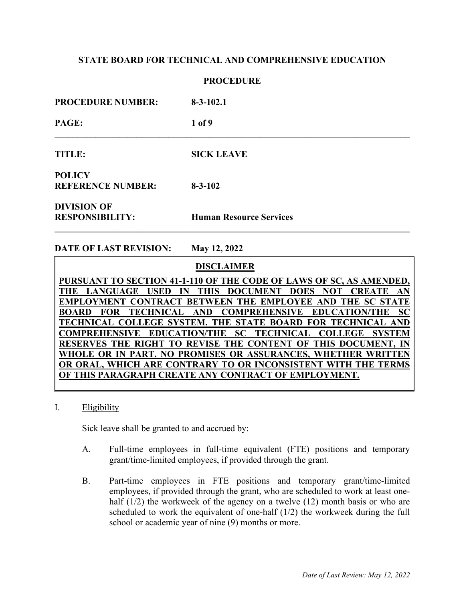## **PROCEDURE**

| <b>PROCEDURE NUMBER:</b>                     | $8-3-102.1$                    |
|----------------------------------------------|--------------------------------|
| PAGE:                                        | 1 of 9                         |
| <b>TITLE:</b>                                | <b>SICK LEAVE</b>              |
| <b>POLICY</b><br><b>REFERENCE NUMBER:</b>    | $8 - 3 - 102$                  |
| <b>DIVISION OF</b><br><b>RESPONSIBILITY:</b> | <b>Human Resource Services</b> |

**\_\_\_\_\_\_\_\_\_\_\_\_\_\_\_\_\_\_\_\_\_\_\_\_\_\_\_\_\_\_\_\_\_\_\_\_\_\_\_\_\_\_\_\_\_\_\_\_\_\_\_\_\_\_\_\_\_\_\_\_\_\_\_\_\_\_\_\_\_\_\_\_\_\_\_\_\_\_** 

**DATE OF LAST REVISION: May 12, 2022** 

 **DISCLAIMER**

**PURSUANT TO SECTION 41-1-110 OF THE CODE OF LAWS OF SC, AS AMENDED, THE LANGUAGE USED IN THIS DOCUMENT DOES NOT CREATE AN EMPLOYMENT CONTRACT BETWEEN THE EMPLOYEE AND THE SC STATE BOARD FOR TECHNICAL AND COMPREHENSIVE EDUCATION/THE SC TECHNICAL COLLEGE SYSTEM. THE STATE BOARD FOR TECHNICAL AND COMPREHENSIVE EDUCATION/THE SC TECHNICAL COLLEGE SYSTEM RESERVES THE RIGHT TO REVISE THE CONTENT OF THIS DOCUMENT, IN WHOLE OR IN PART. NO PROMISES OR ASSURANCES, WHETHER WRITTEN OR ORAL, WHICH ARE CONTRARY TO OR INCONSISTENT WITH THE TERMS OF THIS PARAGRAPH CREATE ANY CONTRACT OF EMPLOYMENT.**

I. Eligibility

Sick leave shall be granted to and accrued by:

- A. Full-time employees in full-time equivalent (FTE) positions and temporary grant/time-limited employees, if provided through the grant.
- B. Part-time employees in FTE positions and temporary grant/time-limited employees, if provided through the grant, who are scheduled to work at least onehalf (1/2) the workweek of the agency on a twelve (12) month basis or who are scheduled to work the equivalent of one-half (1/2) the workweek during the full school or academic year of nine (9) months or more.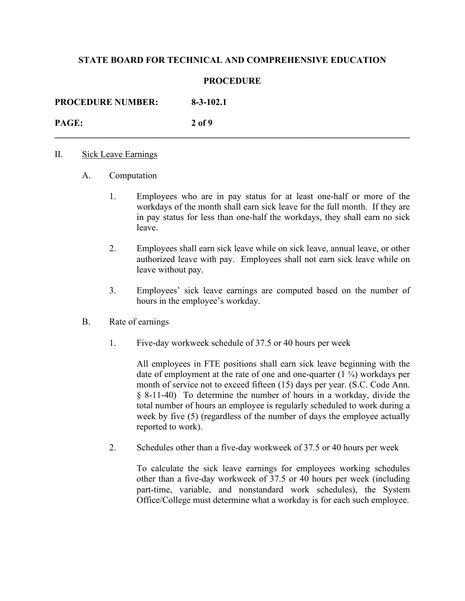## **PROCEDURE**

**\_\_\_\_\_\_\_\_\_\_\_\_\_\_\_\_\_\_\_\_\_\_\_\_\_\_\_\_\_\_\_\_\_\_\_\_\_\_\_\_\_\_\_\_\_\_\_\_\_\_\_\_\_\_\_\_\_\_\_\_\_\_\_\_\_\_\_\_\_\_\_\_\_\_\_\_\_\_** 

**PROCEDURE NUMBER: 8-3-102.1 PAGE: 2 of 9** 

### II. Sick Leave Earnings

- A. Computation
	- 1. Employees who are in pay status for at least one-half or more of the workdays of the month shall earn sick leave for the full month. If they are in pay status for less than one-half the workdays, they shall earn no sick leave.
	- 2. Employees shall earn sick leave while on sick leave, annual leave, or other authorized leave with pay. Employees shall not earn sick leave while on leave without pay.
	- 3. Employees' sick leave earnings are computed based on the number of hours in the employee's workday.

## B. Rate of earnings

1. Five-day workweek schedule of 37.5 or 40 hours per week

 All employees in FTE positions shall earn sick leave beginning with the date of employment at the rate of one and one-quarter  $(1 \frac{1}{4})$  workdays per month of service not to exceed fifteen (15) days per year. (S.C. Code Ann. § 8-11-40) To determine the number of hours in a workday, divide the total number of hours an employee is regularly scheduled to work during a week by five (5) (regardless of the number of days the employee actually reported to work).

2. Schedules other than a five-day workweek of 37.5 or 40 hours per week

 To calculate the sick leave earnings for employees working schedules other than a five-day workweek of 37.5 or 40 hours per week (including part-time, variable, and nonstandard work schedules), the System Office/College must determine what a workday is for each such employee.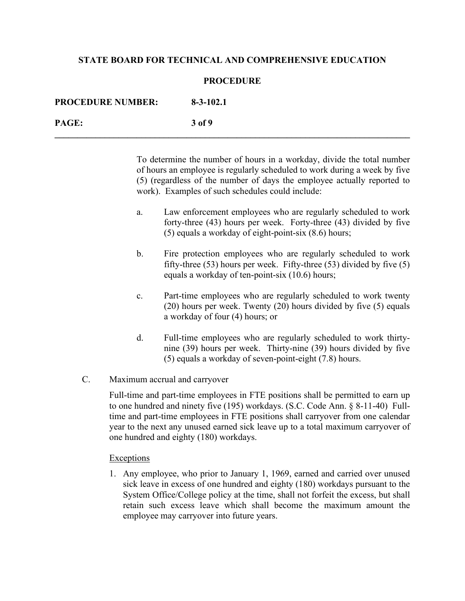### **PROCEDURE**

| <b>PROCEDURE NUMBER:</b> | $8 - 3 - 102.1$ |
|--------------------------|-----------------|
| PAGE:                    | 3 of 9          |

 To determine the number of hours in a workday, divide the total number of hours an employee is regularly scheduled to work during a week by five (5) (regardless of the number of days the employee actually reported to work). Examples of such schedules could include:

- a. Law enforcement employees who are regularly scheduled to work forty-three (43) hours per week. Forty-three (43) divided by five (5) equals a workday of eight-point-six (8.6) hours;
- b. Fire protection employees who are regularly scheduled to work fifty-three (53) hours per week. Fifty-three (53) divided by five (5) equals a workday of ten-point-six (10.6) hours;
- c. Part-time employees who are regularly scheduled to work twenty (20) hours per week. Twenty (20) hours divided by five (5) equals a workday of four (4) hours; or
- d. Full-time employees who are regularly scheduled to work thirtynine (39) hours per week. Thirty-nine (39) hours divided by five (5) equals a workday of seven-point-eight (7.8) hours.
- C. Maximum accrual and carryover

 Full-time and part-time employees in FTE positions shall be permitted to earn up to one hundred and ninety five (195) workdays. (S.C. Code Ann. § 8-11-40) Fulltime and part-time employees in FTE positions shall carryover from one calendar year to the next any unused earned sick leave up to a total maximum carryover of one hundred and eighty (180) workdays.

#### Exceptions

1. Any employee, who prior to January 1, 1969, earned and carried over unused sick leave in excess of one hundred and eighty (180) workdays pursuant to the System Office/College policy at the time, shall not forfeit the excess, but shall retain such excess leave which shall become the maximum amount the employee may carryover into future years.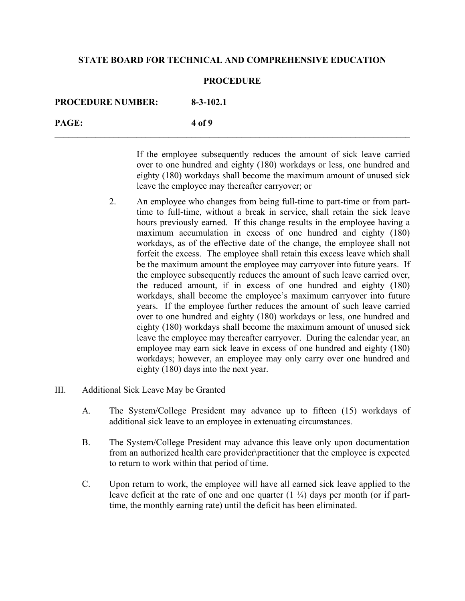### **PROCEDURE**

| <b>PROCEDURE NUMBER:</b> | $8 - 3 - 102.1$ |
|--------------------------|-----------------|
| PAGE:                    | 4 of 9          |

If the employee subsequently reduces the amount of sick leave carried over to one hundred and eighty (180) workdays or less, one hundred and eighty (180) workdays shall become the maximum amount of unused sick leave the employee may thereafter carryover; or

 2. An employee who changes from being full-time to part-time or from parttime to full-time, without a break in service, shall retain the sick leave hours previously earned. If this change results in the employee having a maximum accumulation in excess of one hundred and eighty (180) workdays, as of the effective date of the change, the employee shall not forfeit the excess. The employee shall retain this excess leave which shall be the maximum amount the employee may carryover into future years. If the employee subsequently reduces the amount of such leave carried over, the reduced amount, if in excess of one hundred and eighty (180) workdays, shall become the employee's maximum carryover into future years. If the employee further reduces the amount of such leave carried over to one hundred and eighty (180) workdays or less, one hundred and eighty (180) workdays shall become the maximum amount of unused sick leave the employee may thereafter carryover. During the calendar year, an employee may earn sick leave in excess of one hundred and eighty (180) workdays; however, an employee may only carry over one hundred and eighty (180) days into the next year.

### III. Additional Sick Leave May be Granted

- A. The System/College President may advance up to fifteen (15) workdays of additional sick leave to an employee in extenuating circumstances.
- B. The System/College President may advance this leave only upon documentation from an authorized health care provider\practitioner that the employee is expected to return to work within that period of time.
- C. Upon return to work, the employee will have all earned sick leave applied to the leave deficit at the rate of one and one quarter  $(1 \frac{1}{4})$  days per month (or if parttime, the monthly earning rate) until the deficit has been eliminated.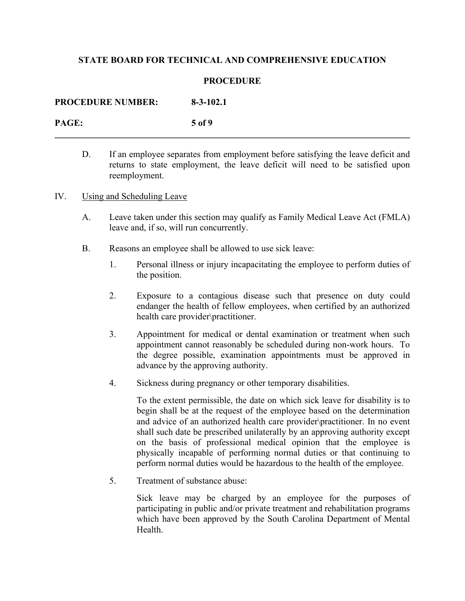## **PROCEDURE**

**\_\_\_\_\_\_\_\_\_\_\_\_\_\_\_\_\_\_\_\_\_\_\_\_\_\_\_\_\_\_\_\_\_\_\_\_\_\_\_\_\_\_\_\_\_\_\_\_\_\_\_\_\_\_\_\_\_\_\_\_\_\_\_\_\_\_\_\_\_\_\_\_\_\_\_\_\_\_** 

**PROCEDURE NUMBER: 8-3-102.1** 

**PAGE: 5 of 9** 

- D. If an employee separates from employment before satisfying the leave deficit and returns to state employment, the leave deficit will need to be satisfied upon reemployment.
- IV. Using and Scheduling Leave
	- A. Leave taken under this section may qualify as Family Medical Leave Act (FMLA) leave and, if so, will run concurrently.
	- B. Reasons an employee shall be allowed to use sick leave:
		- 1. Personal illness or injury incapacitating the employee to perform duties of the position.
		- 2. Exposure to a contagious disease such that presence on duty could endanger the health of fellow employees, when certified by an authorized health care provider\practitioner.
		- 3. Appointment for medical or dental examination or treatment when such appointment cannot reasonably be scheduled during non-work hours. To the degree possible, examination appointments must be approved in advance by the approving authority.
		- 4. Sickness during pregnancy or other temporary disabilities.

To the extent permissible, the date on which sick leave for disability is to begin shall be at the request of the employee based on the determination and advice of an authorized health care provider\practitioner. In no event shall such date be prescribed unilaterally by an approving authority except on the basis of professional medical opinion that the employee is physically incapable of performing normal duties or that continuing to perform normal duties would be hazardous to the health of the employee.

5. Treatment of substance abuse:

Sick leave may be charged by an employee for the purposes of participating in public and/or private treatment and rehabilitation programs which have been approved by the South Carolina Department of Mental Health.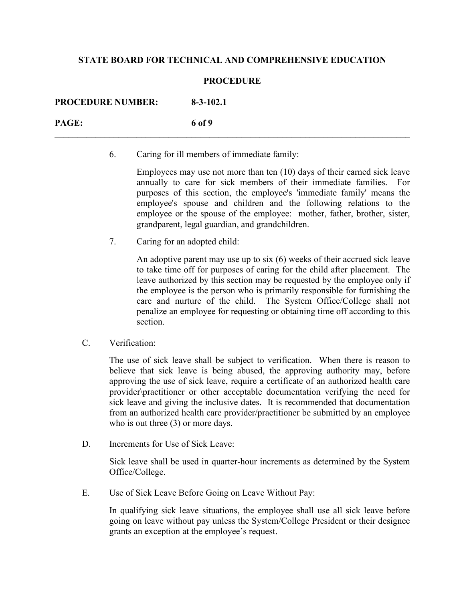## **PROCEDURE**

| <b>PROCEDURE NUMBER:</b> | $8 - 3 - 102.1$ |
|--------------------------|-----------------|
| PAGE:                    | 6 of 9          |

6. Caring for ill members of immediate family:

Employees may use not more than ten (10) days of their earned sick leave annually to care for sick members of their immediate families. For purposes of this section, the employee's 'immediate family' means the employee's spouse and children and the following relations to the employee or the spouse of the employee: mother, father, brother, sister, grandparent, legal guardian, and grandchildren.

7. Caring for an adopted child:

An adoptive parent may use up to six (6) weeks of their accrued sick leave to take time off for purposes of caring for the child after placement. The leave authorized by this section may be requested by the employee only if the employee is the person who is primarily responsible for furnishing the care and nurture of the child. The System Office/College shall not penalize an employee for requesting or obtaining time off according to this section.

C. Verification:

The use of sick leave shall be subject to verification. When there is reason to believe that sick leave is being abused, the approving authority may, before approving the use of sick leave, require a certificate of an authorized health care provider\practitioner or other acceptable documentation verifying the need for sick leave and giving the inclusive dates. It is recommended that documentation from an authorized health care provider/practitioner be submitted by an employee who is out three (3) or more days.

D. Increments for Use of Sick Leave:

Sick leave shall be used in quarter-hour increments as determined by the System Office/College.

E. Use of Sick Leave Before Going on Leave Without Pay:

In qualifying sick leave situations, the employee shall use all sick leave before going on leave without pay unless the System/College President or their designee grants an exception at the employee's request.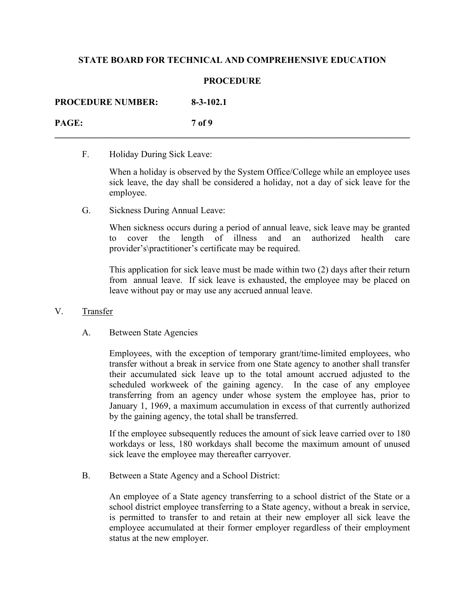## **PROCEDURE**

**\_\_\_\_\_\_\_\_\_\_\_\_\_\_\_\_\_\_\_\_\_\_\_\_\_\_\_\_\_\_\_\_\_\_\_\_\_\_\_\_\_\_\_\_\_\_\_\_\_\_\_\_\_\_\_\_\_\_\_\_\_\_\_\_\_\_\_\_\_\_\_\_\_\_\_\_\_\_** 

| <b>PROCEDURE NUMBER:</b> | $8 - 3 - 102.1$ |
|--------------------------|-----------------|
| <b>PAGE:</b>             | 7 of 9          |

F. Holiday During Sick Leave:

When a holiday is observed by the System Office/College while an employee uses sick leave, the day shall be considered a holiday, not a day of sick leave for the employee.

G. Sickness During Annual Leave:

When sickness occurs during a period of annual leave, sick leave may be granted cover the length of illness and an authorized health care provider's\practitioner's certificate may be required.

This application for sick leave must be made within two (2) days after their return from annual leave. If sick leave is exhausted, the employee may be placed on leave without pay or may use any accrued annual leave.

- V. Transfer
	- A. Between State Agencies

Employees, with the exception of temporary grant/time-limited employees, who transfer without a break in service from one State agency to another shall transfer their accumulated sick leave up to the total amount accrued adjusted to the scheduled workweek of the gaining agency. In the case of any employee transferring from an agency under whose system the employee has, prior to January 1, 1969, a maximum accumulation in excess of that currently authorized by the gaining agency, the total shall be transferred.

If the employee subsequently reduces the amount of sick leave carried over to 180 workdays or less, 180 workdays shall become the maximum amount of unused sick leave the employee may thereafter carryover.

B. Between a State Agency and a School District:

An employee of a State agency transferring to a school district of the State or a school district employee transferring to a State agency, without a break in service, is permitted to transfer to and retain at their new employer all sick leave the employee accumulated at their former employer regardless of their employment status at the new employer.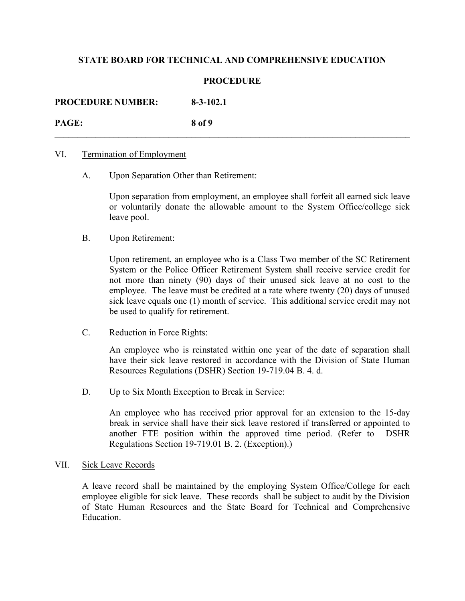## **PROCEDURE**

**\_\_\_\_\_\_\_\_\_\_\_\_\_\_\_\_\_\_\_\_\_\_\_\_\_\_\_\_\_\_\_\_\_\_\_\_\_\_\_\_\_\_\_\_\_\_\_\_\_\_\_\_\_\_\_\_\_\_\_\_\_\_\_\_\_\_\_\_\_\_\_\_\_\_\_\_\_\_** 

**PROCEDURE NUMBER: 8-3-102.1** 

**PAGE: 8 of 9** 

### VI. Termination of Employment

A. Upon Separation Other than Retirement:

 Upon separation from employment, an employee shall forfeit all earned sick leave or voluntarily donate the allowable amount to the System Office/college sick leave pool.

B. Upon Retirement:

 Upon retirement, an employee who is a Class Two member of the SC Retirement System or the Police Officer Retirement System shall receive service credit for not more than ninety (90) days of their unused sick leave at no cost to the employee. The leave must be credited at a rate where twenty (20) days of unused sick leave equals one (1) month of service. This additional service credit may not be used to qualify for retirement.

C. Reduction in Force Rights:

 An employee who is reinstated within one year of the date of separation shall have their sick leave restored in accordance with the Division of State Human Resources Regulations (DSHR) Section 19-719.04 B. 4. d.

D. Up to Six Month Exception to Break in Service:

An employee who has received prior approval for an extension to the 15-day break in service shall have their sick leave restored if transferred or appointed to another FTE position within the approved time period. (Refer to DSHR Regulations Section 19-719.01 B. 2. (Exception).)

#### VII. Sick Leave Records

A leave record shall be maintained by the employing System Office/College for each employee eligible for sick leave. These records shall be subject to audit by the Division of State Human Resources and the State Board for Technical and Comprehensive Education.